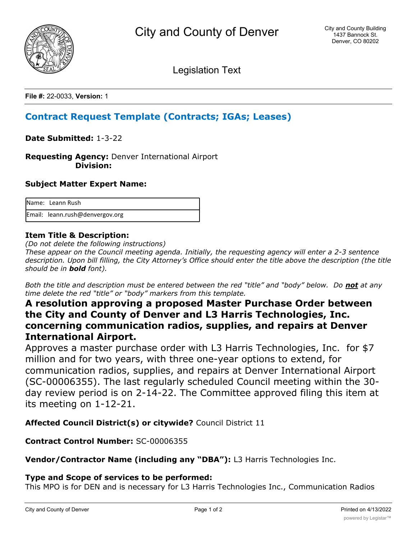

Legislation Text

**File #:** 22-0033, **Version:** 1

# **Contract Request Template (Contracts; IGAs; Leases)**

**Date Submitted:** 1-3-22

**Requesting Agency:** Denver International Airport  **Division:**

#### **Subject Matter Expert Name:**

| Name: Leann Rush                |
|---------------------------------|
| Email: leann.rush@denvergov.org |

## **Item Title & Description:**

*(Do not delete the following instructions)*

*These appear on the Council meeting agenda. Initially, the requesting agency will enter a 2-3 sentence description. Upon bill filling, the City Attorney's Office should enter the title above the description (the title should be in bold font).*

*Both the title and description must be entered between the red "title" and "body" below. Do not at any time delete the red "title" or "body" markers from this template.*

## **A resolution approving a proposed Master Purchase Order between the City and County of Denver and L3 Harris Technologies, Inc. concerning communication radios, supplies, and repairs at Denver International Airport.**

Approves a master purchase order with L3 Harris Technologies, Inc. for \$7 million and for two years, with three one-year options to extend, for communication radios, supplies, and repairs at Denver International Airport (SC-00006355). The last regularly scheduled Council meeting within the 30 day review period is on 2-14-22. The Committee approved filing this item at its meeting on 1-12-21.

**Affected Council District(s) or citywide?** Council District 11

## **Contract Control Number:** SC-00006355

**Vendor/Contractor Name (including any "DBA"):** L3 Harris Technologies Inc.

## **Type and Scope of services to be performed:**

This MPO is for DEN and is necessary for L3 Harris Technologies Inc., Communication Radios